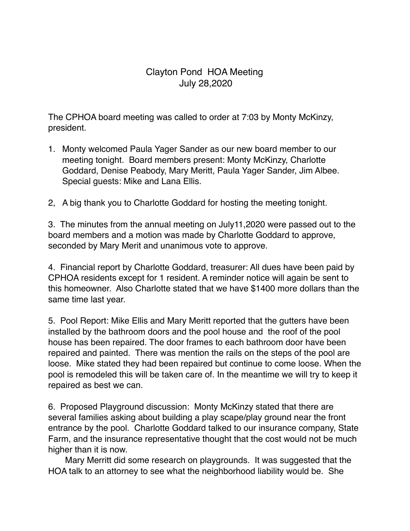## Clayton Pond HOA Meeting July 28,2020

The CPHOA board meeting was called to order at 7:03 by Monty McKinzy, president.

- 1. Monty welcomed Paula Yager Sander as our new board member to our meeting tonight. Board members present: Monty McKinzy, Charlotte Goddard, Denise Peabody, Mary Meritt, Paula Yager Sander, Jim Albee. Special guests: Mike and Lana Ellis.
- 2, A big thank you to Charlotte Goddard for hosting the meeting tonight.

3. The minutes from the annual meeting on July11,2020 were passed out to the board members and a motion was made by Charlotte Goddard to approve, seconded by Mary Merit and unanimous vote to approve.

4. Financial report by Charlotte Goddard, treasurer: All dues have been paid by CPHOA residents except for 1 resident. A reminder notice will again be sent to this homeowner. Also Charlotte stated that we have \$1400 more dollars than the same time last year.

5. Pool Report: Mike Ellis and Mary Meritt reported that the gutters have been installed by the bathroom doors and the pool house and the roof of the pool house has been repaired. The door frames to each bathroom door have been repaired and painted. There was mention the rails on the steps of the pool are loose. Mike stated they had been repaired but continue to come loose. When the pool is remodeled this will be taken care of. In the meantime we will try to keep it repaired as best we can.

6. Proposed Playground discussion: Monty McKinzy stated that there are several families asking about building a play scape/play ground near the front entrance by the pool. Charlotte Goddard talked to our insurance company, State Farm, and the insurance representative thought that the cost would not be much higher than it is now.

 Mary Merritt did some research on playgrounds. It was suggested that the HOA talk to an attorney to see what the neighborhood liability would be. She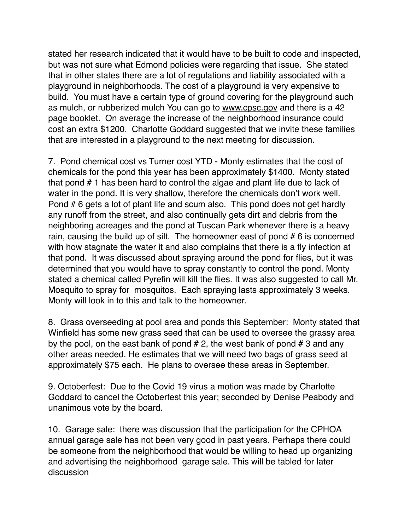stated her research indicated that it would have to be built to code and inspected, but was not sure what Edmond policies were regarding that issue. She stated that in other states there are a lot of regulations and liability associated with a playground in neighborhoods. The cost of a playground is very expensive to build. You must have a certain type of ground covering for the playground such as mulch, or rubberized mulch You can go to [www.cpsc.gov](http://www.cpsc.gov) and there is a 42 page booklet. On average the increase of the neighborhood insurance could cost an extra \$1200. Charlotte Goddard suggested that we invite these families that are interested in a playground to the next meeting for discussion.

7. Pond chemical cost vs Turner cost YTD - Monty estimates that the cost of chemicals for the pond this year has been approximately \$1400. Monty stated that pond # 1 has been hard to control the algae and plant life due to lack of water in the pond. It is very shallow, therefore the chemicals don't work well. Pond # 6 gets a lot of plant life and scum also. This pond does not get hardly any runoff from the street, and also continually gets dirt and debris from the neighboring acreages and the pond at Tuscan Park whenever there is a heavy rain, causing the build up of silt. The homeowner east of pond # 6 is concerned with how stagnate the water it and also complains that there is a fly infection at that pond. It was discussed about spraying around the pond for flies, but it was determined that you would have to spray constantly to control the pond. Monty stated a chemical called Pyrefin will kill the flies. It was also suggested to call Mr. Mosquito to spray for mosquitos. Each spraying lasts approximately 3 weeks. Monty will look in to this and talk to the homeowner.

8. Grass overseeding at pool area and ponds this September: Monty stated that Winfield has some new grass seed that can be used to oversee the grassy area by the pool, on the east bank of pond  $# 2$ , the west bank of pond  $# 3$  and any other areas needed. He estimates that we will need two bags of grass seed at approximately \$75 each. He plans to oversee these areas in September.

9. Octoberfest: Due to the Covid 19 virus a motion was made by Charlotte Goddard to cancel the Octoberfest this year; seconded by Denise Peabody and unanimous vote by the board.

10. Garage sale: there was discussion that the participation for the CPHOA annual garage sale has not been very good in past years. Perhaps there could be someone from the neighborhood that would be willing to head up organizing and advertising the neighborhood garage sale. This will be tabled for later discussion